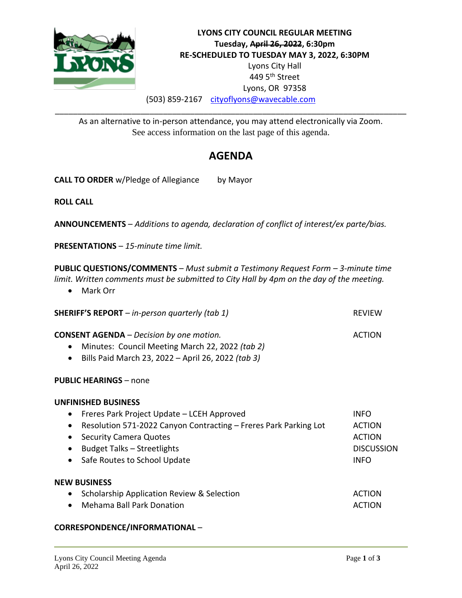

# **LYONS CITY COUNCIL REGULAR MEETING Tuesday, April 26, 2022, 6:30pm RE-SCHEDULED TO TUESDAY MAY 3, 2022, 6:30PM** Lyons City Hall 449 5th Street Lyons, OR 97358 (503) 859-2167 [cityoflyons@wavecable.com](mailto:cityoflyons@wavecable.com)

As an alternative to in-person attendance, you may attend electronically via Zoom. See access information on the last page of this agenda.

\_\_\_\_\_\_\_\_\_\_\_\_\_\_\_\_\_\_\_\_\_\_\_\_\_\_\_\_\_\_\_\_\_\_\_\_\_\_\_\_\_\_\_\_\_\_\_\_\_\_\_\_\_\_\_\_\_\_\_\_\_\_\_\_\_\_\_\_\_\_\_\_\_\_\_\_\_\_

# **AGENDA**

**CALL TO ORDER** w/Pledge of Allegiance by Mayor

**ROLL CALL**

**ANNOUNCEMENTS** – *Additions to agenda, declaration of conflict of interest/ex parte/bias.*

**PRESENTATIONS** – *15-minute time limit.*

**PUBLIC QUESTIONS/COMMENTS** – *Must submit a Testimony Request Form – 3-minute time limit. Written comments must be submitted to City Hall by 4pm on the day of the meeting.*

• Mark Orr

| <b>SHERIFF'S REPORT</b> $-$ in-person quarterly (tab 1)                                                                                                                                                                                                                                                       | <b>REVIEW</b>                                                                     |
|---------------------------------------------------------------------------------------------------------------------------------------------------------------------------------------------------------------------------------------------------------------------------------------------------------------|-----------------------------------------------------------------------------------|
| <b>CONSENT AGENDA</b> – Decision by one motion.<br>Minutes: Council Meeting March 22, 2022 (tab 2)<br>$\bullet$<br>Bills Paid March 23, 2022 - April 26, 2022 (tab 3)<br>$\bullet$                                                                                                                            | <b>ACTION</b>                                                                     |
| <b>PUBLIC HEARINGS - none</b>                                                                                                                                                                                                                                                                                 |                                                                                   |
| <b>UNFINISHED BUSINESS</b><br>Freres Park Project Update – LCEH Approved<br>$\bullet$<br>Resolution 571-2022 Canyon Contracting – Freres Park Parking Lot<br>$\bullet$<br><b>Security Camera Quotes</b><br>$\bullet$<br>Budget Talks - Streetlights<br>$\bullet$<br>Safe Routes to School Update<br>$\bullet$ | <b>INFO</b><br><b>ACTION</b><br><b>ACTION</b><br><b>DISCUSSION</b><br><b>INFO</b> |
| <b>NEW BUSINESS</b><br>Scholarship Application Review & Selection<br>$\bullet$<br><b>Mehama Ball Park Donation</b>                                                                                                                                                                                            | <b>ACTION</b><br>ACTION                                                           |

#### **CORRESPONDENCE/INFORMATIONAL** –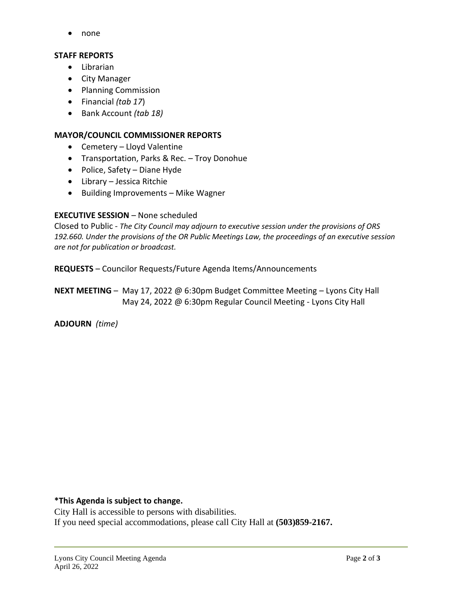• none

#### **STAFF REPORTS**

- Librarian
- City Manager
- Planning Commission
- Financial *(tab 17*)
- Bank Account *(tab 18)*

### **MAYOR/COUNCIL COMMISSIONER REPORTS**

- Cemetery Lloyd Valentine
- Transportation, Parks & Rec. Troy Donohue
- Police, Safety Diane Hyde
- Library Jessica Ritchie
- Building Improvements Mike Wagner

### **EXECUTIVE SESSION** – None scheduled

Closed to Public - *The City Council may adjourn to executive session under the provisions of ORS 192.660. Under the provisions of the OR Public Meetings Law, the proceedings of an executive session are not for publication or broadcast.*

**REQUESTS** – Councilor Requests/Future Agenda Items/Announcements

**NEXT MEETING** – May 17, 2022 @ 6:30pm Budget Committee Meeting – Lyons City Hall May 24, 2022 @ 6:30pm Regular Council Meeting - Lyons City Hall

**ADJOURN** *(time)*

**\*This Agenda is subject to change.**

City Hall is accessible to persons with disabilities. If you need special accommodations, please call City Hall at **(503)859-2167.**